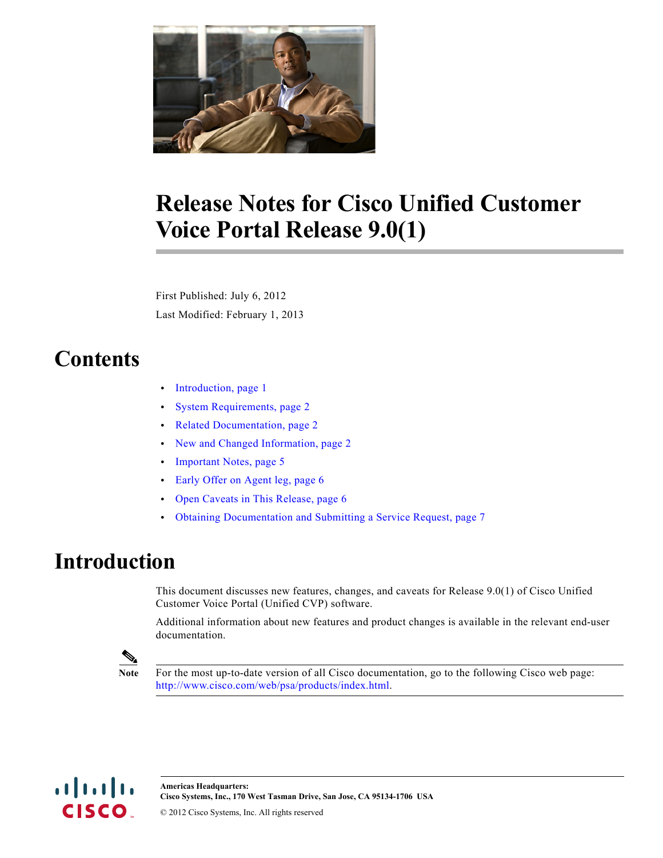

# **Release Notes for Cisco Unified Customer Voice Portal Release 9.0(1)**

First Published: July 6, 2012 Last Modified: February 1, 2013

# **Contents**

- **•** [Introduction, page](#page-0-0) 1
- **•** [System Requirements, page](#page-1-0) 2
- **•** [Related Documentation, page](#page-1-1) 2
- **•** [New and Changed Information, page](#page-1-2) 2
- **•** [Important Notes, page](#page-4-0) 5
- **•** [Early Offer on Agent leg, page](#page-5-0) 6
- **•** [Open Caveats in This Release, page](#page-5-1) 6
- **•** [Obtaining Documentation and Submitting a Service Request, page](#page-6-0) 7

### <span id="page-0-0"></span>**Introduction**

This document discusses new features, changes, and caveats for Release 9.0(1) of Cisco Unified Customer Voice Portal (Unified CVP) software.

Additional information about new features and product changes is available in the relevant end-user documentation.



**Note** For the most up-to-date version of all Cisco documentation, go to the following Cisco web page: [http://www.cisco.com/web/psa/products/index.html.](http://www.cisco.com/web/psa/products/index.html)

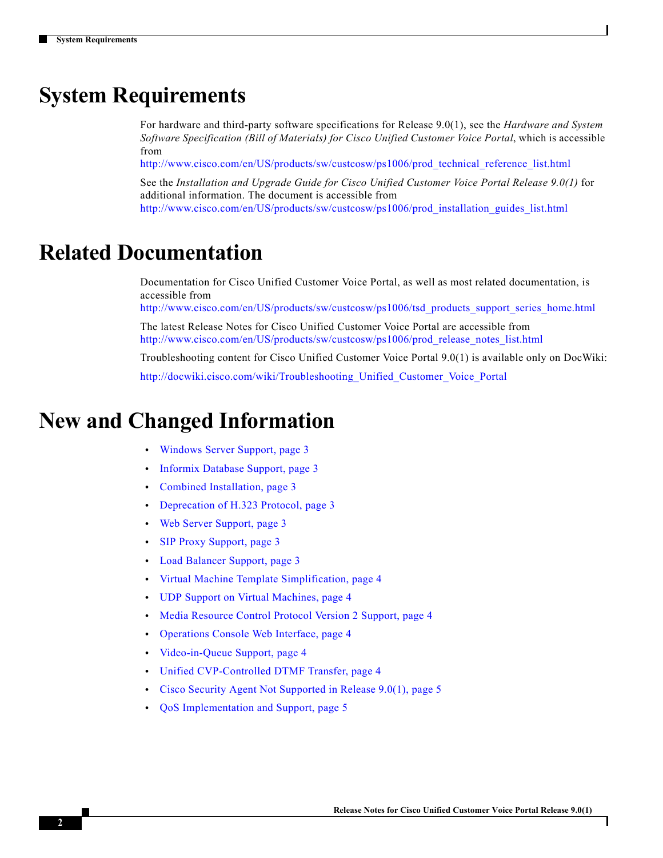# <span id="page-1-0"></span>**System Requirements**

For hardware and third-party software specifications for Release 9.0(1), see the *Hardware and System Software Specification (Bill of Materials) for Cisco Unified Customer Voice Portal*, which is accessible from

[http://www.cisco.com/en/US/products/sw/custcosw/ps1006/prod\\_technical\\_reference\\_list.html](http://www.cisco.com/en/US/products/sw/custcosw/ps1006/prod_technical_reference_list.html)

See the *Installation and Upgrade Guide for Cisco Unified Customer Voice Portal Release 9.0(1)* for additional information. The document is accessible from [http://www.cisco.com/en/US/products/sw/custcosw/ps1006/prod\\_installation\\_guides\\_list.html](http://www.cisco.com/en/US/products/sw/custcosw/ps1006/prod_installation_guides_list.html)

### <span id="page-1-1"></span>**Related Documentation**

Documentation for Cisco Unified Customer Voice Portal, as well as most related documentation, is accessible from

[http://www.cisco.com/en/US/products/sw/custcosw/ps1006/tsd\\_products\\_support\\_series\\_home.html](http://www.cisco.com/en/US/products/sw/custcosw/ps1006/tsd_products_support_series_home.html)

The latest Release Notes for Cisco Unified Customer Voice Portal are accessible from [http://www.cisco.com/en/US/products/sw/custcosw/ps1006/prod\\_release\\_notes\\_list.html](http://www.cisco.com/en/US/products/sw/custcosw/ps1006/prod_release_notes_list.html)

Troubleshooting content for Cisco Unified Customer Voice Portal 9.0(1) is available only on DocWiki:

[http://docwiki.cisco.com/wiki/Troubleshooting\\_Unified\\_Customer\\_Voice\\_Portal](http://docwiki.cisco.com/wiki/Troubleshooting_Unified_Customer_Voice_Portal)

### <span id="page-1-2"></span>**New and Changed Information**

- **•** [Windows Server Support, page](#page-2-0) 3
- **•** [Informix Database Support, page](#page-2-1) 3
- **•** [Combined Installation, page](#page-2-2) 3
- **•** [Deprecation of H.323 Protocol, page](#page-2-3) 3
- **•** [Web Server Support, page](#page-2-4) 3
- **•** [SIP Proxy Support, page](#page-2-5) 3
- **•** [Load Balancer Support, page](#page-2-6) 3
- **•** [Virtual Machine Template Simplification, page](#page-3-1) 4
- **•** [UDP Support on Virtual Machines, page](#page-3-2) 4
- **•** [Media Resource Control Protocol Version 2 Support, page](#page-3-0) 4
- **•** [Operations Console Web Interface, page](#page-3-4) 4
- **•** [Video-in-Queue Support, page](#page-3-5) 4
- **•** [Unified CVP-Controlled DTMF Transfer, page](#page-3-3) 4
- **•** [Cisco Security Agent Not Supported in Release 9.0\(1\), page](#page-4-2) 5
- **•** [QoS Implementation and Support, page](#page-4-1) 5

I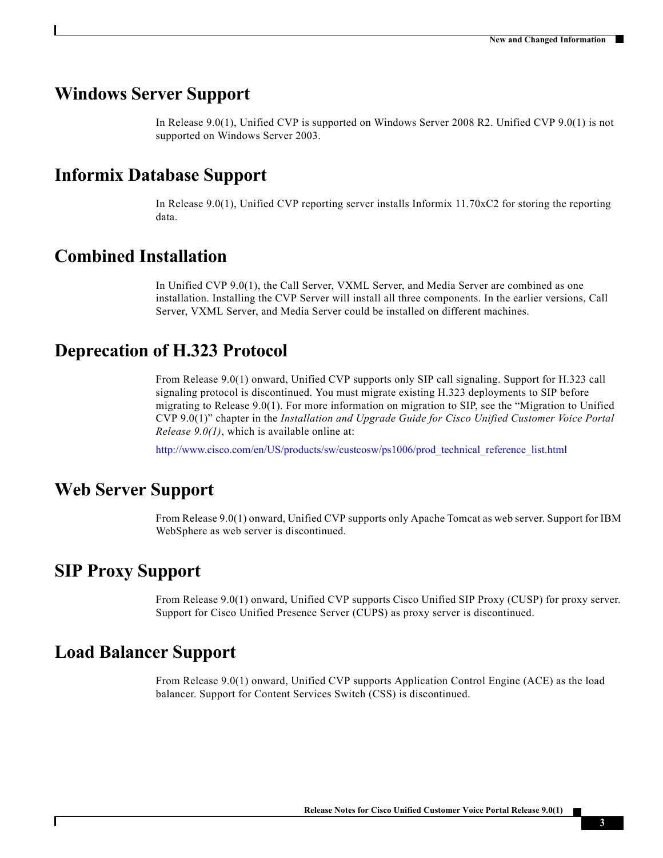#### <span id="page-2-0"></span>**Windows Server Support**

In Release 9.0(1), Unified CVP is supported on Windows Server 2008 R2. Unified CVP 9.0(1) is not supported on Windows Server 2003.

#### <span id="page-2-1"></span>**Informix Database Support**

In Release 9.0(1), Unified CVP reporting server installs Informix 11.70xC2 for storing the reporting data.

### <span id="page-2-2"></span>**Combined Installation**

In Unified CVP 9.0(1), the Call Server, VXML Server, and Media Server are combined as one installation. Installing the CVP Server will install all three components. In the earlier versions, Call Server, VXML Server, and Media Server could be installed on different machines.

#### <span id="page-2-3"></span>**Deprecation of H.323 Protocol**

From Release 9.0(1) onward, Unified CVP supports only SIP call signaling. Support for H.323 call signaling protocol is discontinued. You must migrate existing H.323 deployments to SIP before migrating to Release 9.0(1). For more information on migration to SIP, see the "Migration to Unified CVP 9.0(1)" chapter in the *Installation and Upgrade Guide for Cisco Unified Customer Voice Portal Release 9.0(1)*, which is available online at:

[http://www.cisco.com/en/US/products/sw/custcosw/ps1006/prod\\_technical\\_reference\\_list.html](http://www.cisco.com/en/US/products/sw/custcosw/ps1006/prod_technical_reference_list.html)

#### <span id="page-2-4"></span>**Web Server Support**

From Release 9.0(1) onward, Unified CVP supports only Apache Tomcat as web server. Support for IBM WebSphere as web server is discontinued.

#### <span id="page-2-5"></span>**SIP Proxy Support**

 $\mathbf I$ 

From Release 9.0(1) onward, Unified CVP supports Cisco Unified SIP Proxy (CUSP) for proxy server. Support for Cisco Unified Presence Server (CUPS) as proxy server is discontinued.

#### <span id="page-2-6"></span>**Load Balancer Support**

From Release 9.0(1) onward, Unified CVP supports Application Control Engine (ACE) as the load balancer. Support for Content Services Switch (CSS) is discontinued.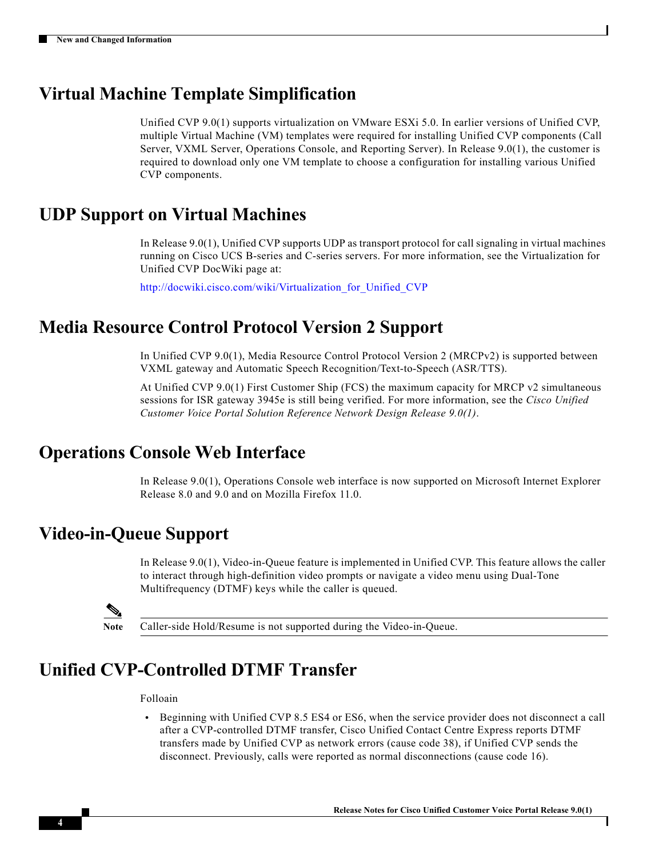### <span id="page-3-1"></span>**Virtual Machine Template Simplification**

Unified CVP 9.0(1) supports virtualization on VMware ESXi 5.0. In earlier versions of Unified CVP, multiple Virtual Machine (VM) templates were required for installing Unified CVP components (Call Server, VXML Server, Operations Console, and Reporting Server). In Release 9.0(1), the customer is required to download only one VM template to choose a configuration for installing various Unified CVP components.

#### <span id="page-3-2"></span>**UDP Support on Virtual Machines**

In Release 9.0(1), Unified CVP supports UDP as transport protocol for call signaling in virtual machines running on Cisco UCS B-series and C-series servers. For more information, see the Virtualization for Unified CVP DocWiki page at:

[http://docwiki.cisco.com/wiki/Virtualization\\_for\\_Unified\\_CVP](http://docwiki.cisco.com/wiki/Virtualization_for_Unified_CVP)

#### <span id="page-3-0"></span>**Media Resource Control Protocol Version 2 Support**

In Unified CVP 9.0(1), Media Resource Control Protocol Version 2 (MRCPv2) is supported between VXML gateway and Automatic Speech Recognition/Text-to-Speech (ASR/TTS).

At Unified CVP 9.0(1) First Customer Ship (FCS) the maximum capacity for MRCP v2 simultaneous sessions for ISR gateway 3945e is still being verified. For more information, see the *Cisco Unified Customer Voice Portal Solution Reference Network Design Release 9.0(1)*.

### <span id="page-3-4"></span>**Operations Console Web Interface**

In Release 9.0(1), Operations Console web interface is now supported on Microsoft Internet Explorer Release 8.0 and 9.0 and on Mozilla Firefox 11.0.

#### <span id="page-3-5"></span>**Video-in-Queue Support**

In Release 9.0(1), Video-in-Queue feature is implemented in Unified CVP. This feature allows the caller to interact through high-definition video prompts or navigate a video menu using Dual-Tone Multifrequency (DTMF) keys while the caller is queued.

**Note** Caller-side Hold/Resume is not supported during the Video-in-Queue.

### <span id="page-3-3"></span>**Unified CVP-Controlled DTMF Transfer**

Folloain

• Beginning with Unified CVP 8.5 ES4 or ES6, when the service provider does not disconnect a call after a CVP-controlled DTMF transfer, Cisco Unified Contact Centre Express reports DTMF transfers made by Unified CVP as network errors (cause code 38), if Unified CVP sends the disconnect. Previously, calls were reported as normal disconnections (cause code 16).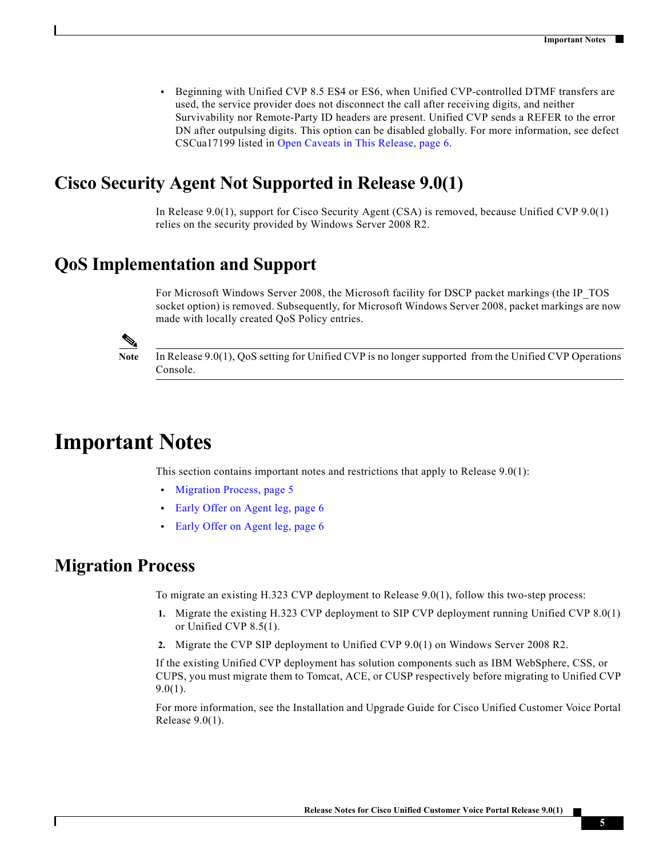**•** Beginning with Unified CVP 8.5 ES4 or ES6, when Unified CVP-controlled DTMF transfers are used, the service provider does not disconnect the call after receiving digits, and neither Survivability nor Remote-Party ID headers are present. Unified CVP sends a REFER to the error DN after outpulsing digits. This option can be disabled globally. For more information, see defect CSCua17199 listed in [Open Caveats in This Release, page](#page-5-1) 6.

### <span id="page-4-2"></span>**Cisco Security Agent Not Supported in Release 9.0(1)**

In Release 9.0(1), support for Cisco Security Agent (CSA) is removed, because Unified CVP 9.0(1) relies on the security provided by Windows Server 2008 R2.

### <span id="page-4-1"></span>**QoS Implementation and Support**

For Microsoft Windows Server 2008, the Microsoft facility for DSCP packet markings (the IP\_TOS socket option) is removed. Subsequently, for Microsoft Windows Server 2008, packet markings are now made with locally created QoS Policy entries.

**Note** In Release 9.0(1), QoS setting for Unified CVP is no longer supported from the Unified CVP Operations Console.

### <span id="page-4-0"></span>**Important Notes**

This section contains important notes and restrictions that apply to Release 9.0(1):

- [Migration Process, page](#page-4-3) 5
- **•** [Early Offer on Agent leg, page](#page-5-0) 6
- **•** [Early Offer on Agent leg, page](#page-5-0) 6

#### <span id="page-4-3"></span>**Migration Process**

To migrate an existing H.323 CVP deployment to Release 9.0(1), follow this two-step process:

- **1.** Migrate the existing H.323 CVP deployment to SIP CVP deployment running Unified CVP 8.0(1) or Unified CVP 8.5(1).
- **2.** Migrate the CVP SIP deployment to Unified CVP 9.0(1) on Windows Server 2008 R2.

If the existing Unified CVP deployment has solution components such as IBM WebSphere, CSS, or CUPS, you must migrate them to Tomcat, ACE, or CUSP respectively before migrating to Unified CVP  $9.0(1)$ .

For more information, see the Installation and Upgrade Guide for Cisco Unified Customer Voice Portal Release 9.0(1).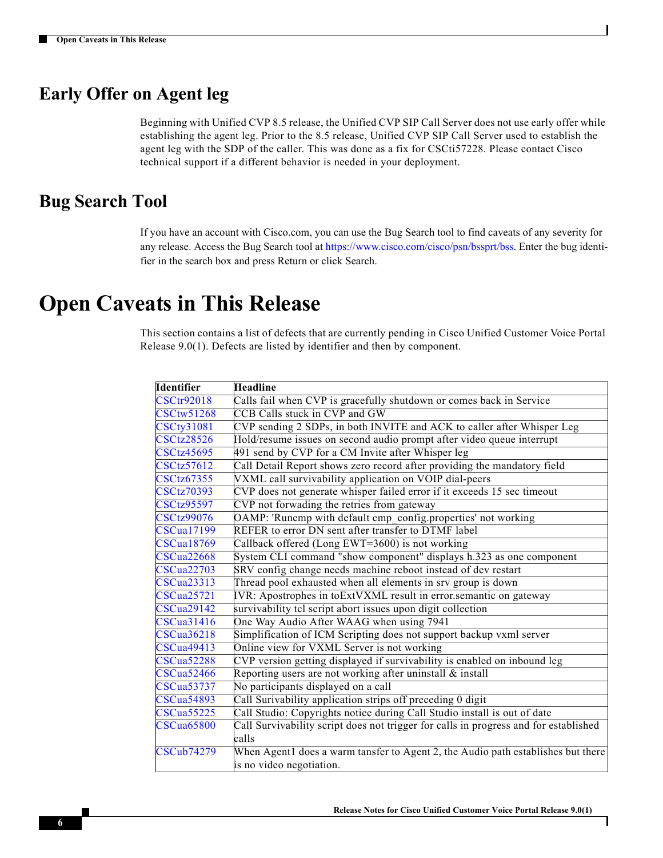### <span id="page-5-0"></span>**Early Offer on Agent leg**

Beginning with Unified CVP 8.5 release, the Unified CVP SIP Call Server does not use early offer while establishing the agent leg. Prior to the 8.5 release, Unified CVP SIP Call Server used to establish the agent leg with the SDP of the caller. This was done as a fix for CSCti57228. Please contact Cisco technical support if a different behavior is needed in your deployment.

#### **Bug Search Tool**

If you have an account with Cisco.com, you can use the Bug Search tool to find caveats of any severity for any release. Access the Bug Search tool at https://www.cisco.com/cisco/psn/bssprt/bss. Enter the bug identifier in the search box and press Return or click Search.

### <span id="page-5-1"></span>**Open Caveats in This Release**

This section contains a list of defects that are currently pending in Cisco Unified Customer Voice Portal Release 9.0(1). Defects are listed by identifier and then by component.

| <b>Identifier</b> | <b>Headline</b>                                                                      |
|-------------------|--------------------------------------------------------------------------------------|
| <b>CSCtr92018</b> | Calls fail when CVP is gracefully shutdown or comes back in Service                  |
| <b>CSCtw51268</b> | <b>CCB</b> Calls stuck in CVP and GW                                                 |
| <b>CSCty31081</b> | CVP sending 2 SDPs, in both INVITE and ACK to caller after Whisper Leg               |
| <b>CSCtz28526</b> | Hold/resume issues on second audio prompt after video queue interrupt                |
| <b>CSCtz45695</b> | 491 send by CVP for a CM Invite after Whisper leg                                    |
| <b>CSCtz57612</b> | Call Detail Report shows zero record after providing the mandatory field             |
| <b>CSCtz67355</b> | VXML call survivability application on VOIP dial-peers                               |
| <b>CSCtz70393</b> | CVP does not generate whisper failed error if it exceeds 15 sec timeout              |
| <b>CSCtz95597</b> | CVP not forwading the retries from gateway                                           |
| <b>CSCtz99076</b> | OAMP: 'Runcmp with default cmp_config.properties' not working                        |
| <b>CSCua17199</b> | REFER to error DN sent after transfer to DTMF label                                  |
| $CSCu$ a $18769$  | Callback offered (Long EWT=3600) is not working                                      |
| <b>CSCua22668</b> | System CLI command "show component" displays h.323 as one component                  |
| <b>CSCua22703</b> | SRV config change needs machine reboot instead of dev restart                        |
| <b>CSCua23313</b> | Thread pool exhausted when all elements in srv group is down                         |
| CSCua25721        | IVR: Apostrophes in toExtVXML result in error.semantic on gateway                    |
| <b>CSCua29142</b> | survivability tel script abort issues upon digit collection                          |
| <b>CSCua31416</b> | One Way Audio After WAAG when using 7941                                             |
| <b>CSCua36218</b> | Simplification of ICM Scripting does not support backup vxml server                  |
| <b>CSCua49413</b> | Online view for VXML Server is not working                                           |
| <b>CSCua52288</b> | CVP version getting displayed if survivability is enabled on inbound leg             |
| <b>CSCua52466</b> | Reporting users are not working after uninstall $\&$ install                         |
| <b>CSCua53737</b> | No participants displayed on a call                                                  |
| <b>CSCua54893</b> | Call Surivability application strips off preceding 0 digit                           |
| <b>CSCua55225</b> | Call Studio: Copyrights notice during Call Studio install is out of date             |
| CSCua65800        | Call Survivability script does not trigger for calls in progress and for established |
|                   | calls                                                                                |
| <b>CSCub74279</b> | When Agent1 does a warm tansfer to Agent 2, the Audio path establishes but there     |
|                   | is no video negotiation.                                                             |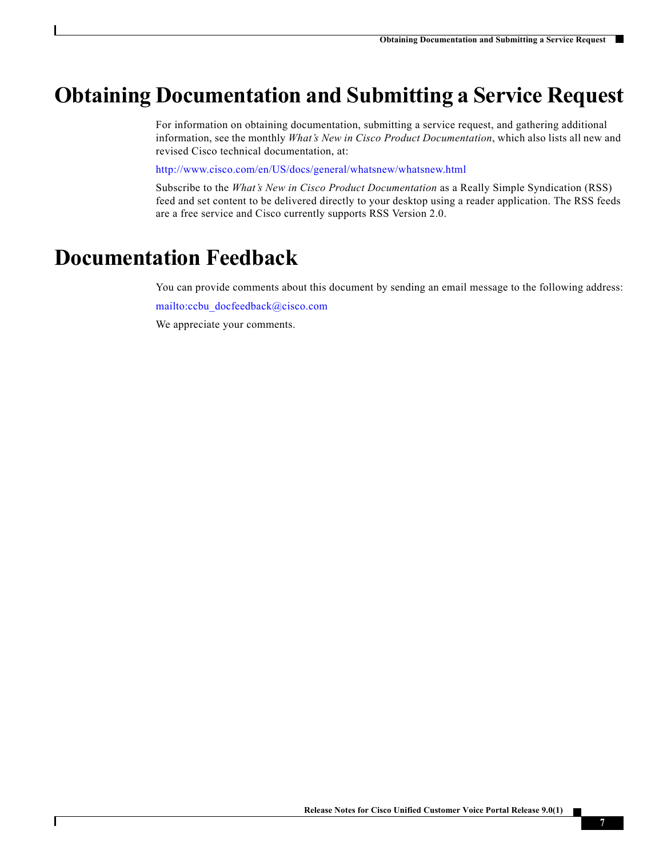# <span id="page-6-0"></span>**Obtaining Documentation and Submitting a Service Request**

For information on obtaining documentation, submitting a service request, and gathering additional information, see the monthly *What's New in Cisco Product Documentation*, which also lists all new and revised Cisco technical documentation, at:

<http://www.cisco.com/en/US/docs/general/whatsnew/whatsnew.html>

Subscribe to the *What's New in Cisco Product Documentation* as a Really Simple Syndication (RSS) feed and set content to be delivered directly to your desktop using a reader application. The RSS feeds are a free service and Cisco currently supports RSS Version 2.0.

# **Documentation Feedback**

 $\Gamma$ 

You can provide comments about this document by sending an email message to the following address: [mailto:ccbu\\_docfeedback@cisco.com](mailto:ccbu_docfeedback@cisco.com)

We appreciate your comments.